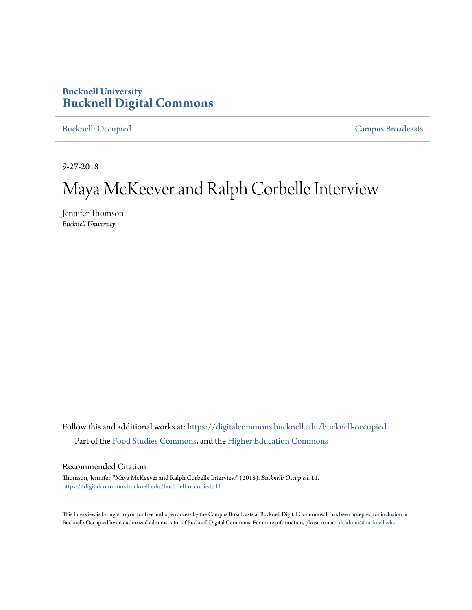# **Bucknell University [Bucknell Digital Commons](https://digitalcommons.bucknell.edu?utm_source=digitalcommons.bucknell.edu%2Fbucknell-occupied%2F11&utm_medium=PDF&utm_campaign=PDFCoverPages)**

[Bucknell: Occupied](https://digitalcommons.bucknell.edu/bucknell-occupied?utm_source=digitalcommons.bucknell.edu%2Fbucknell-occupied%2F11&utm_medium=PDF&utm_campaign=PDFCoverPages) [Campus Broadcasts](https://digitalcommons.bucknell.edu/campus-broadcasts?utm_source=digitalcommons.bucknell.edu%2Fbucknell-occupied%2F11&utm_medium=PDF&utm_campaign=PDFCoverPages)

9-27-2018

# Maya McKeever and Ralph Corbelle Interview

Jennifer Thomson *Bucknell University*

Follow this and additional works at: [https://digitalcommons.bucknell.edu/bucknell-occupied](https://digitalcommons.bucknell.edu/bucknell-occupied?utm_source=digitalcommons.bucknell.edu%2Fbucknell-occupied%2F11&utm_medium=PDF&utm_campaign=PDFCoverPages) Part of the [Food Studies Commons,](http://network.bepress.com/hgg/discipline/1386?utm_source=digitalcommons.bucknell.edu%2Fbucknell-occupied%2F11&utm_medium=PDF&utm_campaign=PDFCoverPages) and the [Higher Education Commons](http://network.bepress.com/hgg/discipline/1245?utm_source=digitalcommons.bucknell.edu%2Fbucknell-occupied%2F11&utm_medium=PDF&utm_campaign=PDFCoverPages)

#### Recommended Citation

Thomson, Jennifer, "Maya McKeever and Ralph Corbelle Interview" (2018). *Bucknell: Occupied*. 11. [https://digitalcommons.bucknell.edu/bucknell-occupied/11](https://digitalcommons.bucknell.edu/bucknell-occupied/11?utm_source=digitalcommons.bucknell.edu%2Fbucknell-occupied%2F11&utm_medium=PDF&utm_campaign=PDFCoverPages)

This Interview is brought to you for free and open access by the Campus Broadcasts at Bucknell Digital Commons. It has been accepted for inclusion in Bucknell: Occupied by an authorized administrator of Bucknell Digital Commons. For more information, please contact [dcadmin@bucknell.edu](mailto:dcadmin@bucknell.edu).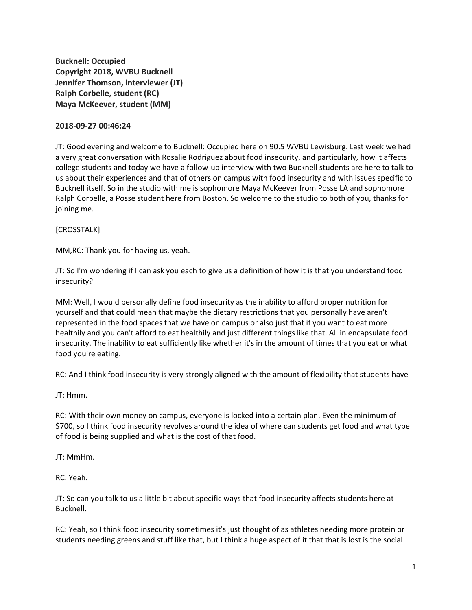**Bucknell: Occupied Copyright 2018, WVBU Bucknell Jennifer Thomson, interviewer (JT) Ralph Corbelle, student (RC) Maya McKeever, student (MM)**

#### **2018-09-27 00:46:24**

JT: Good evening and welcome to Bucknell: Occupied here on 90.5 WVBU Lewisburg. Last week we had a very great conversation with Rosalie Rodriguez about food insecurity, and particularly, how it affects college students and today we have a follow-up interview with two Bucknell students are here to talk to us about their experiences and that of others on campus with food insecurity and with issues specific to Bucknell itself. So in the studio with me is sophomore Maya McKeever from Posse LA and sophomore Ralph Corbelle, a Posse student here from Boston. So welcome to the studio to both of you, thanks for joining me.

#### [CROSSTALK]

MM,RC: Thank you for having us, yeah.

JT: So I'm wondering if I can ask you each to give us a definition of how it is that you understand food insecurity?

MM: Well, I would personally define food insecurity as the inability to afford proper nutrition for yourself and that could mean that maybe the dietary restrictions that you personally have aren't represented in the food spaces that we have on campus or also just that if you want to eat more healthily and you can't afford to eat healthily and just different things like that. All in encapsulate food insecurity. The inability to eat sufficiently like whether it's in the amount of times that you eat or what food you're eating.

RC: And I think food insecurity is very strongly aligned with the amount of flexibility that students have

JT: Hmm.

RC: With their own money on campus, everyone is locked into a certain plan. Even the minimum of \$700, so I think food insecurity revolves around the idea of where can students get food and what type of food is being supplied and what is the cost of that food.

JT: MmHm.

RC: Yeah.

JT: So can you talk to us a little bit about specific ways that food insecurity affects students here at Bucknell.

RC: Yeah, so I think food insecurity sometimes it's just thought of as athletes needing more protein or students needing greens and stuff like that, but I think a huge aspect of it that that is lost is the social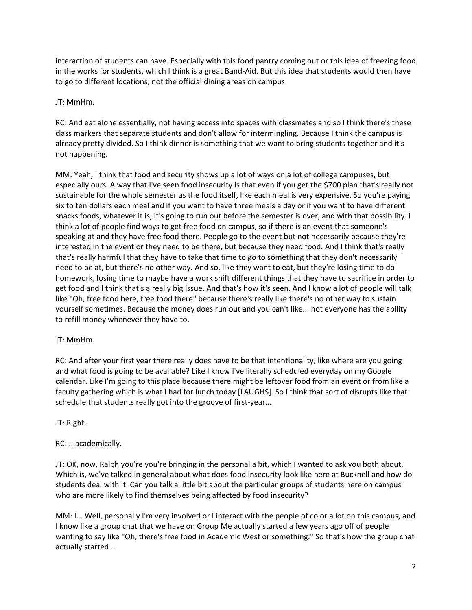interaction of students can have. Especially with this food pantry coming out or this idea of freezing food in the works for students, which I think is a great Band-Aid. But this idea that students would then have to go to different locations, not the official dining areas on campus

#### JT: MmHm.

RC: And eat alone essentially, not having access into spaces with classmates and so I think there's these class markers that separate students and don't allow for intermingling. Because I think the campus is already pretty divided. So I think dinner is something that we want to bring students together and it's not happening.

MM: Yeah, I think that food and security shows up a lot of ways on a lot of college campuses, but especially ours. A way that I've seen food insecurity is that even if you get the \$700 plan that's really not sustainable for the whole semester as the food itself, like each meal is very expensive. So you're paying six to ten dollars each meal and if you want to have three meals a day or if you want to have different snacks foods, whatever it is, it's going to run out before the semester is over, and with that possibility. I think a lot of people find ways to get free food on campus, so if there is an event that someone's speaking at and they have free food there. People go to the event but not necessarily because they're interested in the event or they need to be there, but because they need food. And I think that's really that's really harmful that they have to take that time to go to something that they don't necessarily need to be at, but there's no other way. And so, like they want to eat, but they're losing time to do homework, losing time to maybe have a work shift different things that they have to sacrifice in order to get food and I think that's a really big issue. And that's how it's seen. And I know a lot of people will talk like "Oh, free food here, free food there" because there's really like there's no other way to sustain yourself sometimes. Because the money does run out and you can't like... not everyone has the ability to refill money whenever they have to.

#### JT: MmHm.

RC: And after your first year there really does have to be that intentionality, like where are you going and what food is going to be available? Like I know I've literally scheduled everyday on my Google calendar. Like I'm going to this place because there might be leftover food from an event or from like a faculty gathering which is what I had for lunch today [LAUGHS]. So I think that sort of disrupts like that schedule that students really got into the groove of first-year...

## JT: Right.

## RC: ...academically.

JT: OK, now, Ralph you're you're bringing in the personal a bit, which I wanted to ask you both about. Which is, we've talked in general about what does food insecurity look like here at Bucknell and how do students deal with it. Can you talk a little bit about the particular groups of students here on campus who are more likely to find themselves being affected by food insecurity?

MM: I... Well, personally I'm very involved or I interact with the people of color a lot on this campus, and I know like a group chat that we have on Group Me actually started a few years ago off of people wanting to say like "Oh, there's free food in Academic West or something." So that's how the group chat actually started...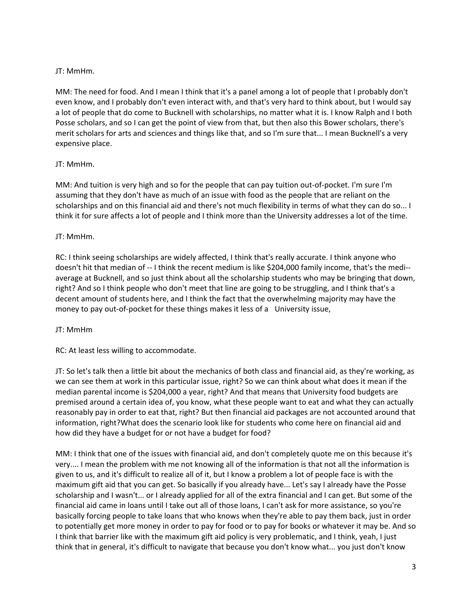#### JT: MmHm.

MM: The need for food. And I mean I think that it's a panel among a lot of people that I probably don't even know, and I probably don't even interact with, and that's very hard to think about, but I would say a lot of people that do come to Bucknell with scholarships, no matter what it is. I know Ralph and I both Posse scholars, and so I can get the point of view from that, but then also this Bower scholars, there's merit scholars for arts and sciences and things like that, and so I'm sure that... I mean Bucknell's a very expensive place.

#### JT: MmHm.

MM: And tuition is very high and so for the people that can pay tuition out-of-pocket. I'm sure I'm assuming that they don't have as much of an issue with food as the people that are reliant on the scholarships and on this financial aid and there's not much flexibility in terms of what they can do so... I think it for sure affects a lot of people and I think more than the University addresses a lot of the time.

#### JT: MmHm.

RC: I think seeing scholarships are widely affected, I think that's really accurate. I think anyone who doesn't hit that median of -- I think the recent medium is like \$204,000 family income, that's the medi- average at Bucknell, and so just think about all the scholarship students who may be bringing that down, right? And so I think people who don't meet that line are going to be struggling, and I think that's a decent amount of students here, and I think the fact that the overwhelming majority may have the money to pay out-of-pocket for these things makes it less of a University issue,

#### JT: MmHm

RC: At least less willing to accommodate.

JT: So let's talk then a little bit about the mechanics of both class and financial aid, as they're working, as we can see them at work in this particular issue, right? So we can think about what does it mean if the median parental income is \$204,000 a year, right? And that means that University food budgets are premised around a certain idea of, you know, what these people want to eat and what they can actually reasonably pay in order to eat that, right? But then financial aid packages are not accounted around that information, right?What does the scenario look like for students who come here on financial aid and how did they have a budget for or not have a budget for food?

MM: I think that one of the issues with financial aid, and don't completely quote me on this because it's very.... I mean the problem with me not knowing all of the information is that not all the information is given to us, and it's difficult to realize all of it, but I know a problem a lot of people face is with the maximum gift aid that you can get. So basically if you already have... Let's say I already have the Posse scholarship and I wasn't... or I already applied for all of the extra financial and I can get. But some of the financial aid came in loans until I take out all of those loans, I can't ask for more assistance, so you're basically forcing people to take loans that who knows when they're able to pay them back, just in order to potentially get more money in order to pay for food or to pay for books or whatever it may be. And so I think that barrier like with the maximum gift aid policy is very problematic, and I think, yeah, I just think that in general, it's difficult to navigate that because you don't know what... you just don't know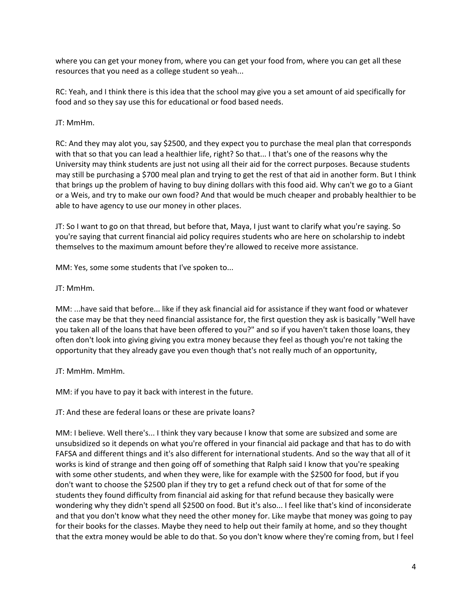where you can get your money from, where you can get your food from, where you can get all these resources that you need as a college student so yeah...

RC: Yeah, and I think there is this idea that the school may give you a set amount of aid specifically for food and so they say use this for educational or food based needs.

JT: MmHm.

RC: And they may alot you, say \$2500, and they expect you to purchase the meal plan that corresponds with that so that you can lead a healthier life, right? So that... I that's one of the reasons why the University may think students are just not using all their aid for the correct purposes. Because students may still be purchasing a \$700 meal plan and trying to get the rest of that aid in another form. But I think that brings up the problem of having to buy dining dollars with this food aid. Why can't we go to a Giant or a Weis, and try to make our own food? And that would be much cheaper and probably healthier to be able to have agency to use our money in other places.

JT: So I want to go on that thread, but before that, Maya, I just want to clarify what you're saying. So you're saying that current financial aid policy requires students who are here on scholarship to indebt themselves to the maximum amount before they're allowed to receive more assistance.

MM: Yes, some some students that I've spoken to...

JT: MmHm.

MM: ...have said that before... like if they ask financial aid for assistance if they want food or whatever the case may be that they need financial assistance for, the first question they ask is basically "Well have you taken all of the loans that have been offered to you?" and so if you haven't taken those loans, they often don't look into giving giving you extra money because they feel as though you're not taking the opportunity that they already gave you even though that's not really much of an opportunity,

JT: MmHm. MmHm.

MM: if you have to pay it back with interest in the future.

JT: And these are federal loans or these are private loans?

MM: I believe. Well there's... I think they vary because I know that some are subsized and some are unsubsidized so it depends on what you're offered in your financial aid package and that has to do with FAFSA and different things and it's also different for international students. And so the way that all of it works is kind of strange and then going off of something that Ralph said I know that you're speaking with some other students, and when they were, like for example with the \$2500 for food, but if you don't want to choose the \$2500 plan if they try to get a refund check out of that for some of the students they found difficulty from financial aid asking for that refund because they basically were wondering why they didn't spend all \$2500 on food. But it's also... I feel like that's kind of inconsiderate and that you don't know what they need the other money for. Like maybe that money was going to pay for their books for the classes. Maybe they need to help out their family at home, and so they thought that the extra money would be able to do that. So you don't know where they're coming from, but I feel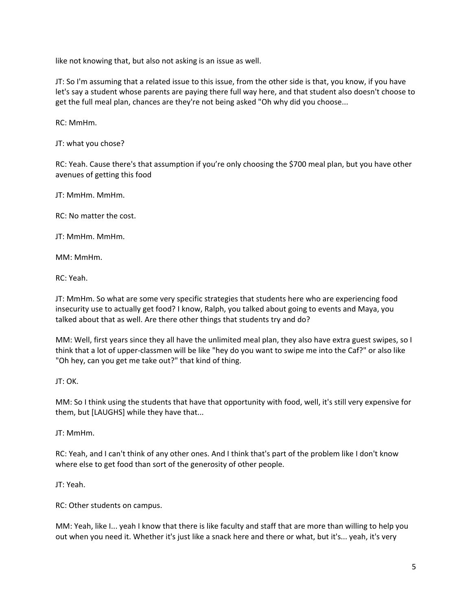like not knowing that, but also not asking is an issue as well.

JT: So I'm assuming that a related issue to this issue, from the other side is that, you know, if you have let's say a student whose parents are paying there full way here, and that student also doesn't choose to get the full meal plan, chances are they're not being asked "Oh why did you choose...

RC: MmHm.

JT: what you chose?

RC: Yeah. Cause there's that assumption if you're only choosing the \$700 meal plan, but you have other avenues of getting this food

JT: MmHm. MmHm.

RC: No matter the cost.

JT: MmHm. MmHm.

MM: MmHm.

RC: Yeah.

JT: MmHm. So what are some very specific strategies that students here who are experiencing food insecurity use to actually get food? I know, Ralph, you talked about going to events and Maya, you talked about that as well. Are there other things that students try and do?

MM: Well, first years since they all have the unlimited meal plan, they also have extra guest swipes, so I think that a lot of upper-classmen will be like "hey do you want to swipe me into the Caf?" or also like "Oh hey, can you get me take out?" that kind of thing.

JT: OK.

MM: So I think using the students that have that opportunity with food, well, it's still very expensive for them, but [LAUGHS] while they have that...

JT: MmHm.

RC: Yeah, and I can't think of any other ones. And I think that's part of the problem like I don't know where else to get food than sort of the generosity of other people.

JT: Yeah.

RC: Other students on campus.

MM: Yeah, like I... yeah I know that there is like faculty and staff that are more than willing to help you out when you need it. Whether it's just like a snack here and there or what, but it's... yeah, it's very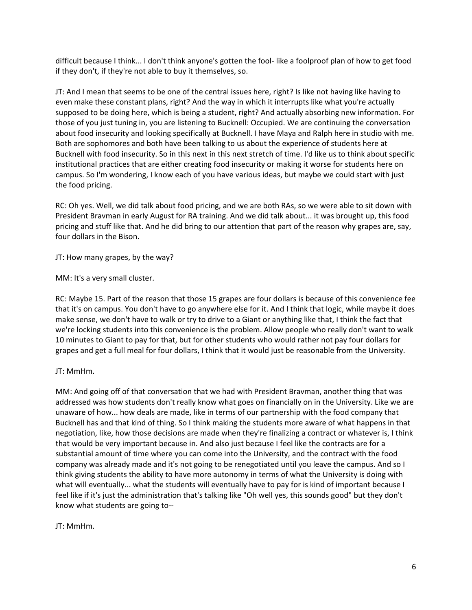difficult because I think... I don't think anyone's gotten the fool- like a foolproof plan of how to get food if they don't, if they're not able to buy it themselves, so.

JT: And I mean that seems to be one of the central issues here, right? Is like not having like having to even make these constant plans, right? And the way in which it interrupts like what you're actually supposed to be doing here, which is being a student, right? And actually absorbing new information. For those of you just tuning in, you are listening to Bucknell: Occupied. We are continuing the conversation about food insecurity and looking specifically at Bucknell. I have Maya and Ralph here in studio with me. Both are sophomores and both have been talking to us about the experience of students here at Bucknell with food insecurity. So in this next in this next stretch of time. I'd like us to think about specific institutional practices that are either creating food insecurity or making it worse for students here on campus. So I'm wondering, I know each of you have various ideas, but maybe we could start with just the food pricing.

RC: Oh yes. Well, we did talk about food pricing, and we are both RAs, so we were able to sit down with President Bravman in early August for RA training. And we did talk about... it was brought up, this food pricing and stuff like that. And he did bring to our attention that part of the reason why grapes are, say, four dollars in the Bison.

JT: How many grapes, by the way?

MM: It's a very small cluster.

RC: Maybe 15. Part of the reason that those 15 grapes are four dollars is because of this convenience fee that it's on campus. You don't have to go anywhere else for it. And I think that logic, while maybe it does make sense, we don't have to walk or try to drive to a Giant or anything like that, I think the fact that we're locking students into this convenience is the problem. Allow people who really don't want to walk 10 minutes to Giant to pay for that, but for other students who would rather not pay four dollars for grapes and get a full meal for four dollars, I think that it would just be reasonable from the University.

#### JT: MmHm.

MM: And going off of that conversation that we had with President Bravman, another thing that was addressed was how students don't really know what goes on financially on in the University. Like we are unaware of how... how deals are made, like in terms of our partnership with the food company that Bucknell has and that kind of thing. So I think making the students more aware of what happens in that negotiation, like, how those decisions are made when they're finalizing a contract or whatever is, I think that would be very important because in. And also just because I feel like the contracts are for a substantial amount of time where you can come into the University, and the contract with the food company was already made and it's not going to be renegotiated until you leave the campus. And so I think giving students the ability to have more autonomy in terms of what the University is doing with what will eventually... what the students will eventually have to pay for is kind of important because I feel like if it's just the administration that's talking like "Oh well yes, this sounds good" but they don't know what students are going to--

JT: MmHm.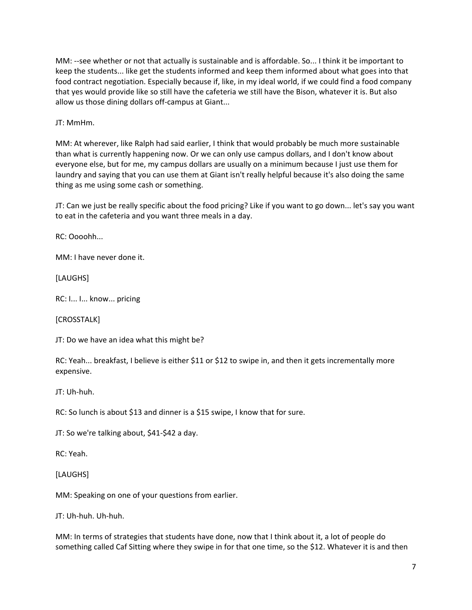MM: --see whether or not that actually is sustainable and is affordable. So... I think it be important to keep the students... like get the students informed and keep them informed about what goes into that food contract negotiation. Especially because if, like, in my ideal world, if we could find a food company that yes would provide like so still have the cafeteria we still have the Bison, whatever it is. But also allow us those dining dollars off-campus at Giant...

JT: MmHm.

MM: At wherever, like Ralph had said earlier, I think that would probably be much more sustainable than what is currently happening now. Or we can only use campus dollars, and I don't know about everyone else, but for me, my campus dollars are usually on a minimum because I just use them for laundry and saying that you can use them at Giant isn't really helpful because it's also doing the same thing as me using some cash or something.

JT: Can we just be really specific about the food pricing? Like if you want to go down... let's say you want to eat in the cafeteria and you want three meals in a day.

RC: Oooohh...

MM: I have never done it.

[LAUGHS]

RC: I... I... know... pricing

[CROSSTALK]

JT: Do we have an idea what this might be?

RC: Yeah... breakfast, I believe is either \$11 or \$12 to swipe in, and then it gets incrementally more expensive.

JT: Uh-huh.

RC: So lunch is about \$13 and dinner is a \$15 swipe, I know that for sure.

JT: So we're talking about, \$41-\$42 a day.

RC: Yeah.

[LAUGHS]

MM: Speaking on one of your questions from earlier.

JT: Uh-huh. Uh-huh.

MM: In terms of strategies that students have done, now that I think about it, a lot of people do something called Caf Sitting where they swipe in for that one time, so the \$12. Whatever it is and then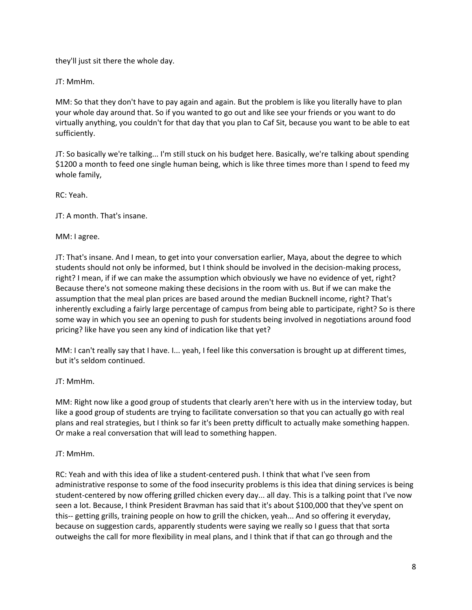they'll just sit there the whole day.

JT: MmHm.

MM: So that they don't have to pay again and again. But the problem is like you literally have to plan your whole day around that. So if you wanted to go out and like see your friends or you want to do virtually anything, you couldn't for that day that you plan to Caf Sit, because you want to be able to eat sufficiently.

JT: So basically we're talking... I'm still stuck on his budget here. Basically, we're talking about spending \$1200 a month to feed one single human being, which is like three times more than I spend to feed my whole family,

RC: Yeah.

JT: A month. That's insane.

MM: I agree.

JT: That's insane. And I mean, to get into your conversation earlier, Maya, about the degree to which students should not only be informed, but I think should be involved in the decision-making process, right? I mean, if if we can make the assumption which obviously we have no evidence of yet, right? Because there's not someone making these decisions in the room with us. But if we can make the assumption that the meal plan prices are based around the median Bucknell income, right? That's inherently excluding a fairly large percentage of campus from being able to participate, right? So is there some way in which you see an opening to push for students being involved in negotiations around food pricing? like have you seen any kind of indication like that yet?

MM: I can't really say that I have. I... yeah, I feel like this conversation is brought up at different times, but it's seldom continued.

#### JT: MmHm.

MM: Right now like a good group of students that clearly aren't here with us in the interview today, but like a good group of students are trying to facilitate conversation so that you can actually go with real plans and real strategies, but I think so far it's been pretty difficult to actually make something happen. Or make a real conversation that will lead to something happen.

#### JT: MmHm.

RC: Yeah and with this idea of like a student-centered push. I think that what I've seen from administrative response to some of the food insecurity problems is this idea that dining services is being student-centered by now offering grilled chicken every day... all day. This is a talking point that I've now seen a lot. Because, I think President Bravman has said that it's about \$100,000 that they've spent on this-- getting grills, training people on how to grill the chicken, yeah... And so offering it everyday, because on suggestion cards, apparently students were saying we really so I guess that that sorta outweighs the call for more flexibility in meal plans, and I think that if that can go through and the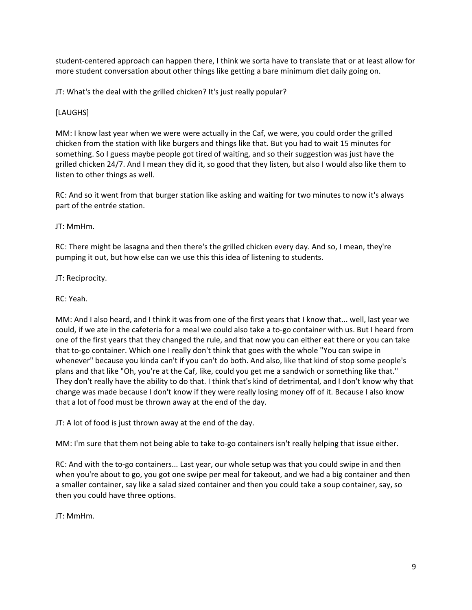student-centered approach can happen there, I think we sorta have to translate that or at least allow for more student conversation about other things like getting a bare minimum diet daily going on.

JT: What's the deal with the grilled chicken? It's just really popular?

#### [LAUGHS]

MM: I know last year when we were were actually in the Caf, we were, you could order the grilled chicken from the station with like burgers and things like that. But you had to wait 15 minutes for something. So I guess maybe people got tired of waiting, and so their suggestion was just have the grilled chicken 24/7. And I mean they did it, so good that they listen, but also I would also like them to listen to other things as well.

RC: And so it went from that burger station like asking and waiting for two minutes to now it's always part of the entrée station.

#### JT: MmHm.

RC: There might be lasagna and then there's the grilled chicken every day. And so, I mean, they're pumping it out, but how else can we use this this idea of listening to students.

JT: Reciprocity.

RC: Yeah.

MM: And I also heard, and I think it was from one of the first years that I know that... well, last year we could, if we ate in the cafeteria for a meal we could also take a to-go container with us. But I heard from one of the first years that they changed the rule, and that now you can either eat there or you can take that to-go container. Which one I really don't think that goes with the whole "You can swipe in whenever" because you kinda can't if you can't do both. And also, like that kind of stop some people's plans and that like "Oh, you're at the Caf, like, could you get me a sandwich or something like that." They don't really have the ability to do that. I think that's kind of detrimental, and I don't know why that change was made because I don't know if they were really losing money off of it. Because I also know that a lot of food must be thrown away at the end of the day.

JT: A lot of food is just thrown away at the end of the day.

MM: I'm sure that them not being able to take to-go containers isn't really helping that issue either.

RC: And with the to-go containers... Last year, our whole setup was that you could swipe in and then when you're about to go, you got one swipe per meal for takeout, and we had a big container and then a smaller container, say like a salad sized container and then you could take a soup container, say, so then you could have three options.

JT: MmHm.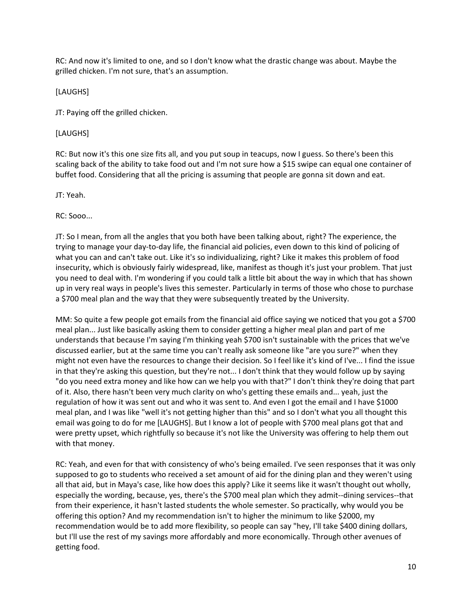RC: And now it's limited to one, and so I don't know what the drastic change was about. Maybe the grilled chicken. I'm not sure, that's an assumption.

[LAUGHS]

JT: Paying off the grilled chicken.

#### [LAUGHS]

RC: But now it's this one size fits all, and you put soup in teacups, now I guess. So there's been this scaling back of the ability to take food out and I'm not sure how a \$15 swipe can equal one container of buffet food. Considering that all the pricing is assuming that people are gonna sit down and eat.

JT: Yeah.

RC: Sooo...

JT: So I mean, from all the angles that you both have been talking about, right? The experience, the trying to manage your day-to-day life, the financial aid policies, even down to this kind of policing of what you can and can't take out. Like it's so individualizing, right? Like it makes this problem of food insecurity, which is obviously fairly widespread, like, manifest as though it's just your problem. That just you need to deal with. I'm wondering if you could talk a little bit about the way in which that has shown up in very real ways in people's lives this semester. Particularly in terms of those who chose to purchase a \$700 meal plan and the way that they were subsequently treated by the University.

MM: So quite a few people got emails from the financial aid office saying we noticed that you got a \$700 meal plan... Just like basically asking them to consider getting a higher meal plan and part of me understands that because I'm saying I'm thinking yeah \$700 isn't sustainable with the prices that we've discussed earlier, but at the same time you can't really ask someone like "are you sure?" when they might not even have the resources to change their decision. So I feel like it's kind of I've... I find the issue in that they're asking this question, but they're not... I don't think that they would follow up by saying "do you need extra money and like how can we help you with that?" I don't think they're doing that part of it. Also, there hasn't been very much clarity on who's getting these emails and... yeah, just the regulation of how it was sent out and who it was sent to. And even I got the email and I have \$1000 meal plan, and I was like "well it's not getting higher than this" and so I don't what you all thought this email was going to do for me [LAUGHS]. But I know a lot of people with \$700 meal plans got that and were pretty upset, which rightfully so because it's not like the University was offering to help them out with that money.

RC: Yeah, and even for that with consistency of who's being emailed. I've seen responses that it was only supposed to go to students who received a set amount of aid for the dining plan and they weren't using all that aid, but in Maya's case, like how does this apply? Like it seems like it wasn't thought out wholly, especially the wording, because, yes, there's the \$700 meal plan which they admit--dining services--that from their experience, it hasn't lasted students the whole semester. So practically, why would you be offering this option? And my recommendation isn't to higher the minimum to like \$2000, my recommendation would be to add more flexibility, so people can say "hey, I'll take \$400 dining dollars, but I'll use the rest of my savings more affordably and more economically. Through other avenues of getting food.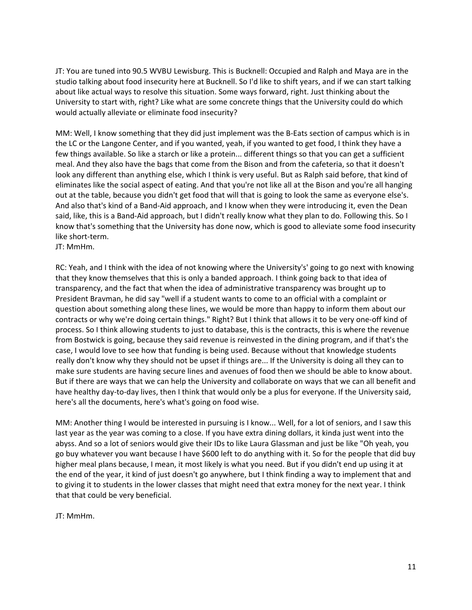JT: You are tuned into 90.5 WVBU Lewisburg. This is Bucknell: Occupied and Ralph and Maya are in the studio talking about food insecurity here at Bucknell. So I'd like to shift years, and if we can start talking about like actual ways to resolve this situation. Some ways forward, right. Just thinking about the University to start with, right? Like what are some concrete things that the University could do which would actually alleviate or eliminate food insecurity?

MM: Well, I know something that they did just implement was the B-Eats section of campus which is in the LC or the Langone Center, and if you wanted, yeah, if you wanted to get food, I think they have a few things available. So like a starch or like a protein... different things so that you can get a sufficient meal. And they also have the bags that come from the Bison and from the cafeteria, so that it doesn't look any different than anything else, which I think is very useful. But as Ralph said before, that kind of eliminates like the social aspect of eating. And that you're not like all at the Bison and you're all hanging out at the table, because you didn't get food that will that is going to look the same as everyone else's. And also that's kind of a Band-Aid approach, and I know when they were introducing it, even the Dean said, like, this is a Band-Aid approach, but I didn't really know what they plan to do. Following this. So I know that's something that the University has done now, which is good to alleviate some food insecurity like short-term.

JT: MmHm.

RC: Yeah, and I think with the idea of not knowing where the University's' going to go next with knowing that they know themselves that this is only a banded approach. I think going back to that idea of transparency, and the fact that when the idea of administrative transparency was brought up to President Bravman, he did say "well if a student wants to come to an official with a complaint or question about something along these lines, we would be more than happy to inform them about our contracts or why we're doing certain things." Right? But I think that allows it to be very one-off kind of process. So I think allowing students to just to database, this is the contracts, this is where the revenue from Bostwick is going, because they said revenue is reinvested in the dining program, and if that's the case, I would love to see how that funding is being used. Because without that knowledge students really don't know why they should not be upset if things are... If the University is doing all they can to make sure students are having secure lines and avenues of food then we should be able to know about. But if there are ways that we can help the University and collaborate on ways that we can all benefit and have healthy day-to-day lives, then I think that would only be a plus for everyone. If the University said, here's all the documents, here's what's going on food wise.

MM: Another thing I would be interested in pursuing is I know... Well, for a lot of seniors, and I saw this last year as the year was coming to a close. If you have extra dining dollars, it kinda just went into the abyss. And so a lot of seniors would give their IDs to like Laura Glassman and just be like "Oh yeah, you go buy whatever you want because I have \$600 left to do anything with it. So for the people that did buy higher meal plans because, I mean, it most likely is what you need. But if you didn't end up using it at the end of the year, it kind of just doesn't go anywhere, but I think finding a way to implement that and to giving it to students in the lower classes that might need that extra money for the next year. I think that that could be very beneficial.

JT: MmHm.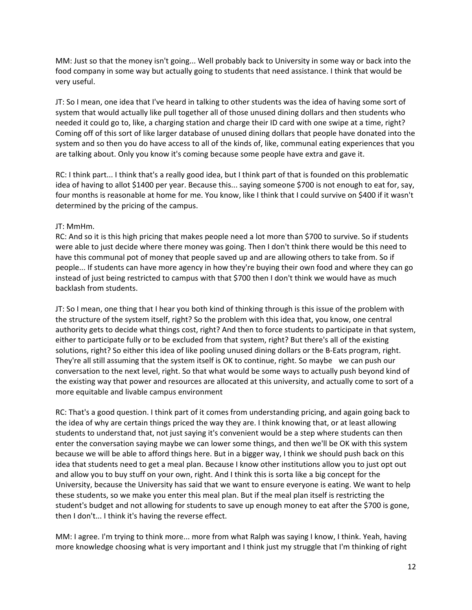MM: Just so that the money isn't going... Well probably back to University in some way or back into the food company in some way but actually going to students that need assistance. I think that would be very useful.

JT: So I mean, one idea that I've heard in talking to other students was the idea of having some sort of system that would actually like pull together all of those unused dining dollars and then students who needed it could go to, like, a charging station and charge their ID card with one swipe at a time, right? Coming off of this sort of like larger database of unused dining dollars that people have donated into the system and so then you do have access to all of the kinds of, like, communal eating experiences that you are talking about. Only you know it's coming because some people have extra and gave it.

RC: I think part... I think that's a really good idea, but I think part of that is founded on this problematic idea of having to allot \$1400 per year. Because this... saying someone \$700 is not enough to eat for, say, four months is reasonable at home for me. You know, like I think that I could survive on \$400 if it wasn't determined by the pricing of the campus.

#### JT: MmHm.

RC: And so it is this high pricing that makes people need a lot more than \$700 to survive. So if students were able to just decide where there money was going. Then I don't think there would be this need to have this communal pot of money that people saved up and are allowing others to take from. So if people... If students can have more agency in how they're buying their own food and where they can go instead of just being restricted to campus with that \$700 then I don't think we would have as much backlash from students.

JT: So I mean, one thing that I hear you both kind of thinking through is this issue of the problem with the structure of the system itself, right? So the problem with this idea that, you know, one central authority gets to decide what things cost, right? And then to force students to participate in that system, either to participate fully or to be excluded from that system, right? But there's all of the existing solutions, right? So either this idea of like pooling unused dining dollars or the B-Eats program, right. They're all still assuming that the system itself is OK to continue, right. So maybe we can push our conversation to the next level, right. So that what would be some ways to actually push beyond kind of the existing way that power and resources are allocated at this university, and actually come to sort of a more equitable and livable campus environment

RC: That's a good question. I think part of it comes from understanding pricing, and again going back to the idea of why are certain things priced the way they are. I think knowing that, or at least allowing students to understand that, not just saying it's convenient would be a step where students can then enter the conversation saying maybe we can lower some things, and then we'll be OK with this system because we will be able to afford things here. But in a bigger way, I think we should push back on this idea that students need to get a meal plan. Because I know other institutions allow you to just opt out and allow you to buy stuff on your own, right. And I think this is sorta like a big concept for the University, because the University has said that we want to ensure everyone is eating. We want to help these students, so we make you enter this meal plan. But if the meal plan itself is restricting the student's budget and not allowing for students to save up enough money to eat after the \$700 is gone, then I don't... I think it's having the reverse effect.

MM: I agree. I'm trying to think more... more from what Ralph was saying I know, I think. Yeah, having more knowledge choosing what is very important and I think just my struggle that I'm thinking of right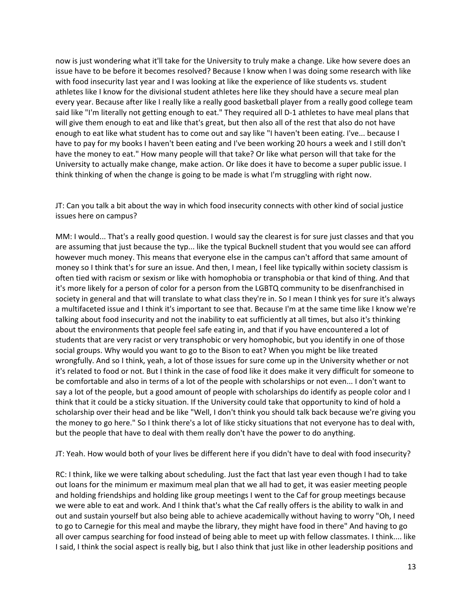now is just wondering what it'll take for the University to truly make a change. Like how severe does an issue have to be before it becomes resolved? Because I know when I was doing some research with like with food insecurity last year and I was looking at like the experience of like students vs. student athletes like I know for the divisional student athletes here like they should have a secure meal plan every year. Because after like I really like a really good basketball player from a really good college team said like "I'm literally not getting enough to eat." They required all D-1 athletes to have meal plans that will give them enough to eat and like that's great, but then also all of the rest that also do not have enough to eat like what student has to come out and say like "I haven't been eating. I've... because I have to pay for my books I haven't been eating and I've been working 20 hours a week and I still don't have the money to eat." How many people will that take? Or like what person will that take for the University to actually make change, make action. Or like does it have to become a super public issue. I think thinking of when the change is going to be made is what I'm struggling with right now.

JT: Can you talk a bit about the way in which food insecurity connects with other kind of social justice issues here on campus?

MM: I would... That's a really good question. I would say the clearest is for sure just classes and that you are assuming that just because the typ... like the typical Bucknell student that you would see can afford however much money. This means that everyone else in the campus can't afford that same amount of money so I think that's for sure an issue. And then, I mean, I feel like typically within society classism is often tied with racism or sexism or like with homophobia or transphobia or that kind of thing. And that it's more likely for a person of color for a person from the LGBTQ community to be disenfranchised in society in general and that will translate to what class they're in. So I mean I think yes for sure it's always a multifaceted issue and I think it's important to see that. Because I'm at the same time like I know we're talking about food insecurity and not the inability to eat sufficiently at all times, but also it's thinking about the environments that people feel safe eating in, and that if you have encountered a lot of students that are very racist or very transphobic or very homophobic, but you identify in one of those social groups. Why would you want to go to the Bison to eat? When you might be like treated wrongfully. And so I think, yeah, a lot of those issues for sure come up in the University whether or not it's related to food or not. But I think in the case of food like it does make it very difficult for someone to be comfortable and also in terms of a lot of the people with scholarships or not even... I don't want to say a lot of the people, but a good amount of people with scholarships do identify as people color and I think that it could be a sticky situation. If the University could take that opportunity to kind of hold a scholarship over their head and be like "Well, I don't think you should talk back because we're giving you the money to go here." So I think there's a lot of like sticky situations that not everyone has to deal with, but the people that have to deal with them really don't have the power to do anything.

JT: Yeah. How would both of your lives be different here if you didn't have to deal with food insecurity?

RC: I think, like we were talking about scheduling. Just the fact that last year even though I had to take out loans for the minimum er maximum meal plan that we all had to get, it was easier meeting people and holding friendships and holding like group meetings I went to the Caf for group meetings because we were able to eat and work. And I think that's what the Caf really offers is the ability to walk in and out and sustain yourself but also being able to achieve academically without having to worry "Oh, I need to go to Carnegie for this meal and maybe the library, they might have food in there" And having to go all over campus searching for food instead of being able to meet up with fellow classmates. I think.... like I said, I think the social aspect is really big, but I also think that just like in other leadership positions and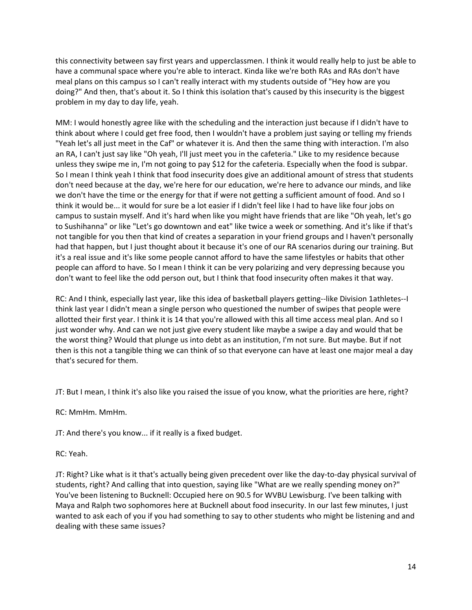this connectivity between say first years and upperclassmen. I think it would really help to just be able to have a communal space where you're able to interact. Kinda like we're both RAs and RAs don't have meal plans on this campus so I can't really interact with my students outside of "Hey how are you doing?" And then, that's about it. So I think this isolation that's caused by this insecurity is the biggest problem in my day to day life, yeah.

MM: I would honestly agree like with the scheduling and the interaction just because if I didn't have to think about where I could get free food, then I wouldn't have a problem just saying or telling my friends "Yeah let's all just meet in the Caf" or whatever it is. And then the same thing with interaction. I'm also an RA, I can't just say like "Oh yeah, I'll just meet you in the cafeteria." Like to my residence because unless they swipe me in, I'm not going to pay \$12 for the cafeteria. Especially when the food is subpar. So I mean I think yeah I think that food insecurity does give an additional amount of stress that students don't need because at the day, we're here for our education, we're here to advance our minds, and like we don't have the time or the energy for that if were not getting a sufficient amount of food. And so I think it would be... it would for sure be a lot easier if I didn't feel like I had to have like four jobs on campus to sustain myself. And it's hard when like you might have friends that are like "Oh yeah, let's go to Sushihanna" or like "Let's go downtown and eat" like twice a week or something. And it's like if that's not tangible for you then that kind of creates a separation in your friend groups and I haven't personally had that happen, but I just thought about it because it's one of our RA scenarios during our training. But it's a real issue and it's like some people cannot afford to have the same lifestyles or habits that other people can afford to have. So I mean I think it can be very polarizing and very depressing because you don't want to feel like the odd person out, but I think that food insecurity often makes it that way.

RC: And I think, especially last year, like this idea of basketball players getting--like Division 1athletes--I think last year I didn't mean a single person who questioned the number of swipes that people were allotted their first year. I think it is 14 that you're allowed with this all time access meal plan. And so I just wonder why. And can we not just give every student like maybe a swipe a day and would that be the worst thing? Would that plunge us into debt as an institution, I'm not sure. But maybe. But if not then is this not a tangible thing we can think of so that everyone can have at least one major meal a day that's secured for them.

JT: But I mean, I think it's also like you raised the issue of you know, what the priorities are here, right?

RC: MmHm. MmHm.

JT: And there's you know... if it really is a fixed budget.

RC: Yeah.

JT: Right? Like what is it that's actually being given precedent over like the day-to-day physical survival of students, right? And calling that into question, saying like "What are we really spending money on?" You've been listening to Bucknell: Occupied here on 90.5 for WVBU Lewisburg. I've been talking with Maya and Ralph two sophomores here at Bucknell about food insecurity. In our last few minutes, I just wanted to ask each of you if you had something to say to other students who might be listening and and dealing with these same issues?